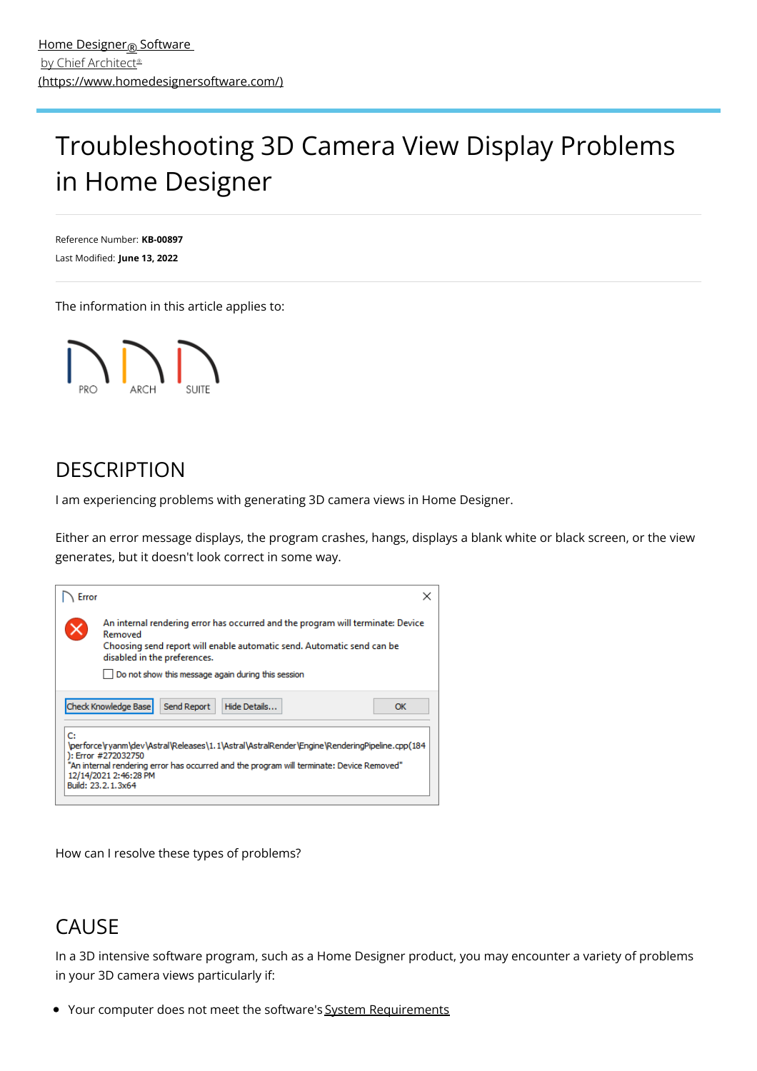# <span id="page-0-0"></span>Troubleshooting 3D Camera View Display Problems in Home Designer

Reference Number: **KB-00897** Last Modified: **June 13, 2022**

The information in this article applies to:



## **DESCRIPTION**

I am experiencing problems with generating 3D camera views in Home Designer.

Either an error message displays, the program crashes, hangs, displays a blank white or black screen, or the view generates, but it doesn't look correct in some way.



How can I resolve these types of problems?

## **CAUSE**

In a 3D intensive software program, such as a Home Designer product, you may encounter a variety of problems in your 3D camera views particularly if:

• Your computer does not meet the software's System Requirements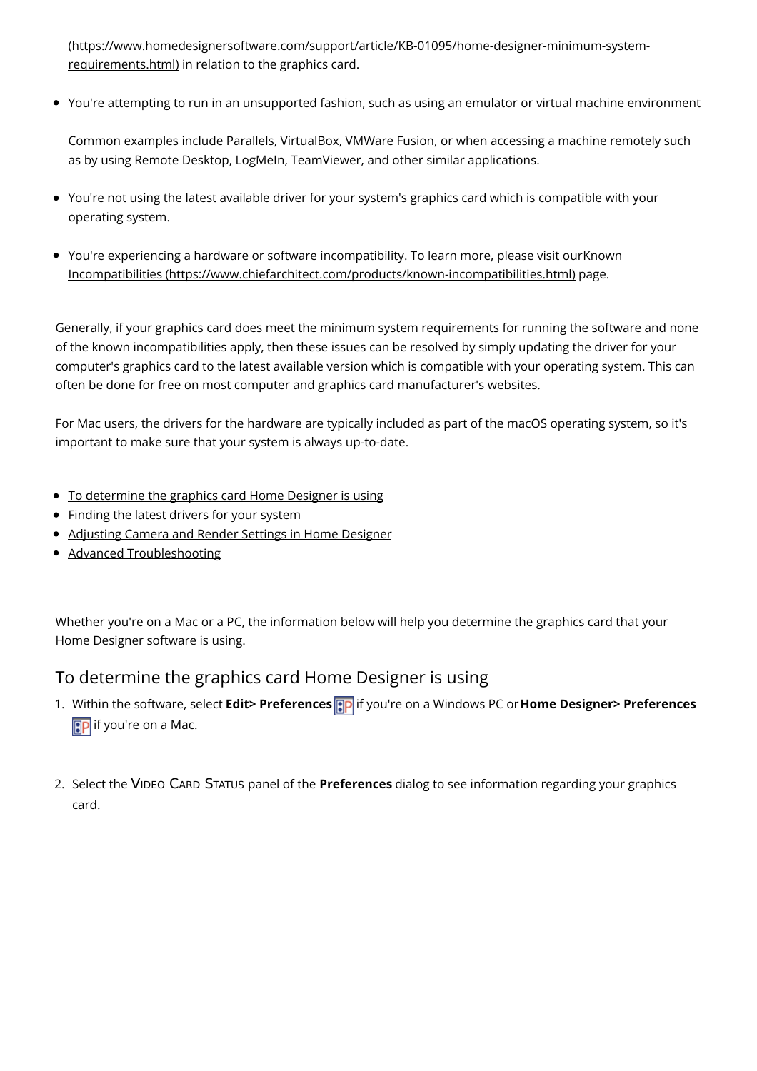[\(https://www.homedesignersoftware.com/support/article/KB-01095/home-designer-minimum-system](https://www.homedesignersoftware.com/support/article/KB-01095/home-designer-minimum-system-requirements.html)requirements.html) in relation to the graphics card.

You're attempting to run in an unsupported fashion, such as using an emulator or virtual machine environment

Common examples include Parallels, VirtualBox, VMWare Fusion, or when accessing a machine remotely such as by using Remote Desktop, LogMeIn, TeamViewer, and other similar applications.

- You're not using the latest available driver for your system's graphics card which is compatible with your operating system.
- You're experiencing a hardware or software incompatibility. To learn more, please visit ourKnown Incompatibilities [\(https://www.chiefarchitect.com/products/known-incompatibilities.html\)](https://www.chiefarchitect.com/products/known-incompatibilities.html) page.

Generally, if your graphics card does meet the minimum system requirements for running the software and none of the known incompatibilities apply, then these issues can be resolved by simply updating the driver for your computer's graphics card to the latest available version which is compatible with your operating system. This can often be done for free on most computer and graphics card manufacturer's websites.

For Mac users, the drivers for the hardware are typically included as part of the macOS operating system, so it's important to make sure that your system is always up-to-date.

- To [determine](#page-0-0) the graphics card Home Designer is using
- [Finding](#page-0-0) the latest drivers for your system
- [Adjusting](#page-0-0) Camera and Render Settings in Home Designer
- Advanced [Troubleshooting](#page-0-0)

Whether you're on a Mac or a PC, the information below will help you determine the graphics card that your Home Designer software is using.

#### To determine the graphics card Home Designer is using

- 1. Within the software, select **Edit> Preferences** if you're on a Windows PC or**Home Designer> Preferences EP** if you're on a Mac.
- 2. Select the VIDEO CARD STATUS panel of the **Preferences** dialog to see information regarding your graphics card.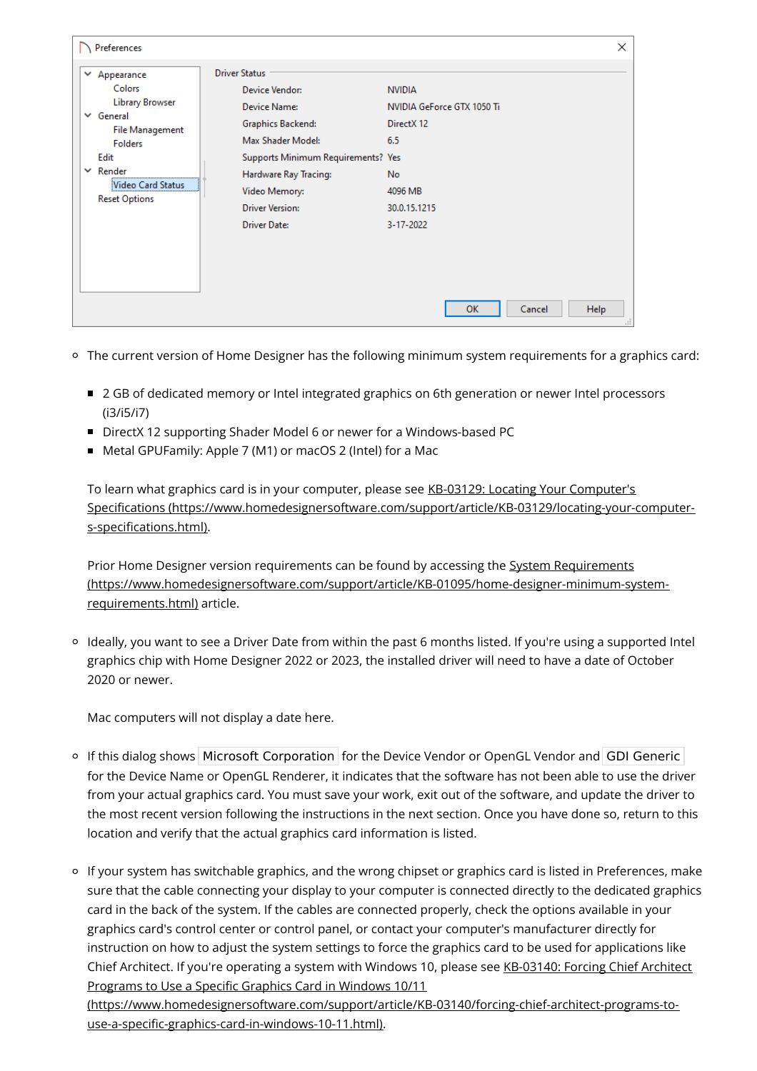| <b>Driver Status</b><br>$\checkmark$<br>Appearance<br>Colors<br>Device Vendor:<br><b>NVIDIA</b><br><b>Library Browser</b><br>Device Name:<br>NVIDIA GeForce GTX 1050 Ti<br>$\vee$ General<br><b>Graphics Backend:</b><br>DirectX 12<br><b>File Management</b><br>Max Shader Model:<br>6.5<br><b>Folders</b><br>Edit<br>Supports Minimum Requirements? Yes<br>Render<br>$\checkmark$<br>Hardware Ray Tracing:<br><b>No</b><br>Video Card Status<br>Video Memory:<br>4096 MB<br><b>Reset Options</b><br><b>Driver Version:</b><br>30.0.15.1215<br><b>Driver Date:</b><br>3-17-2022 | Preferences |  | × |
|----------------------------------------------------------------------------------------------------------------------------------------------------------------------------------------------------------------------------------------------------------------------------------------------------------------------------------------------------------------------------------------------------------------------------------------------------------------------------------------------------------------------------------------------------------------------------------|-------------|--|---|
| <b>OK</b><br>Cancel<br><b>Help</b><br>a.                                                                                                                                                                                                                                                                                                                                                                                                                                                                                                                                         |             |  |   |

- The current version of Home Designer has the following minimum system requirements for a graphics card:
	- 2 GB of dedicated memory or Intel integrated graphics on 6th generation or newer Intel processors (i3/i5/i7)
	- DirectX 12 supporting Shader Model 6 or newer for a Windows-based PC
	- Metal GPUFamily: Apple 7 (M1) or macOS 2 (Intel) for a Mac

To learn what graphics card is in your computer, please see KB-03129: Locating Your Computer's Specifications [\(https://www.homedesignersoftware.com/support/article/KB-03129/locating-your-computer](https://www.homedesignersoftware.com/support/article/KB-03129/locating-your-computer-s-specifications.html)s-specifications.html).

Prior Home Designer version requirements can be found by accessing the System Requirements [\(https://www.homedesignersoftware.com/support/article/KB-01095/home-designer-minimum-system](https://www.homedesignersoftware.com/support/article/KB-01095/home-designer-minimum-system-requirements.html)requirements.html) article.

Ideally, you want to see a Driver Date from within the past 6 months listed. If you're using a supported Intel graphics chip with Home Designer 2022 or 2023, the installed driver will need to have a date of October 2020 or newer.

Mac computers will not display a date here.

- If this dialog shows Microsoft Corporation for the Device Vendor or OpenGL Vendor and GDI Generic for the Device Name or OpenGL Renderer, it indicates that the software has not been able to use the driver from your actual graphics card. You must save your work, exit out of the software, and update the driver to the most recent version following the instructions in the next section. Once you have done so, return to this location and verify that the actual graphics card information is listed.
- If your system has switchable graphics, and the wrong chipset or graphics card is listed in Preferences, make sure that the cable connecting your display to your computer is connected directly to the dedicated graphics card in the back of the system. If the cables are connected properly, check the options available in your graphics card's control center or control panel, or contact your computer's manufacturer directly for instruction on how to adjust the system settings to force the graphics card to be used for applications like Chief Architect. If you're operating a system with Windows 10, please see KB-03140: Forcing Chief Architect Programs to Use a Specific Graphics Card in Windows 10/11

[\(https://www.homedesignersoftware.com/support/article/KB-03140/forcing-chief-architect-programs-to](https://www.homedesignersoftware.com/support/article/KB-03140/forcing-chief-architect-programs-to-use-a-specific-graphics-card-in-windows-10-11.html)use-a-specific-graphics-card-in-windows-10-11.html).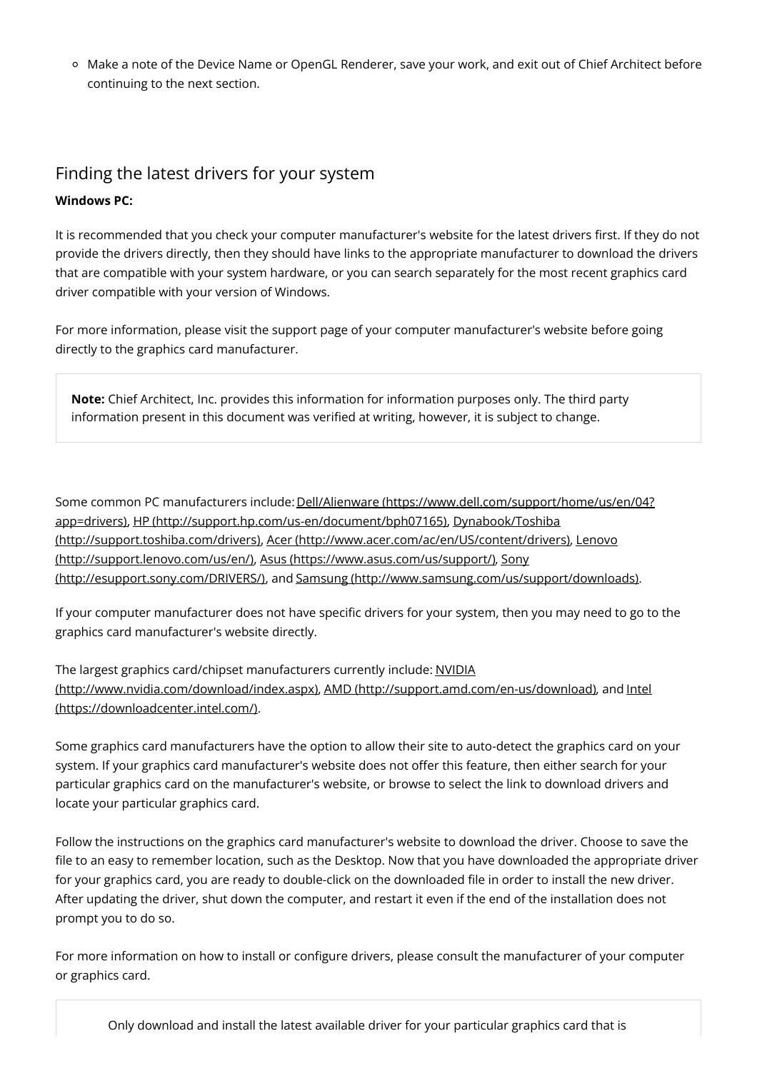o Make a note of the Device Name or OpenGL Renderer, save your work, and exit out of Chief Architect before continuing to the next section.

#### Finding the latest drivers for your system

#### **Windows PC:**

It is recommended that you check your computer manufacturer's website for the latest drivers first. If they do not provide the drivers directly, then they should have links to the appropriate manufacturer to download the drivers that are compatible with your system hardware, or you can search separately for the most recent graphics card driver compatible with your version of Windows.

For more information, please visit the support page of your computer manufacturer's website before going directly to the graphics card manufacturer.

**Note:** Chief Architect, Inc. provides this information for information purposes only. The third party information present in this document was verified at writing, however, it is subject to change.

Some common PC manufacturers include: Dell/Alienware (https://www.dell.com/support/home/us/en/04? app=drivers), HP [\(http://support.hp.com/us-en/document/bph07165\),](https://www.dell.com/support/home/us/en/04?app=drivers) Dynabook/Toshiba (http://support.toshiba.com/drivers), Acer [\(http://www.acer.com/ac/en/US/content/drivers\),](http://support.lenovo.com/us/en/) Lenovo (http://support.lenovo.com/us/en/), Asus [\(https://www.asus.com/us/support/](https://www.asus.com/us/support/)[\),](http://esupport.sony.com/DRIVERS/) Sony (http://esupport.sony.com/DRIVERS/), and Samsung [\(http://www.samsung.com/us/support/downloads\)](http://www.samsung.com/us/support/downloads).

If your computer manufacturer does not have specific drivers for your system, then you may need to go to the graphics card manufacturer's website directly.

The largest graphics card/chipset manufacturers currently include: NVIDIA [\(http://www.nvidia.com/download/index.aspx\),](http://www.nvidia.com/download/index.aspx) AMD [\(http://support.amd.com/en-us/download\)](http://support.amd.com/en-us/download), and Intel (https://downloadcenter.intel.com/).

Some graphics card manufacturers have the option to allow their site to auto-detect the graphics card on your system. If your graphics card manufacturer's website does not offer this feature, then either search for your particular graphics card on the manufacturer's website, or browse to select the link to download drivers and locate your particular graphics card.

Follow the instructions on the graphics card manufacturer's website to download the driver. Choose to save the file to an easy to remember location, such as the Desktop. Now that you have downloaded the appropriate driver for your graphics card, you are ready to double-click on the downloaded file in order to install the new driver. After updating the driver, shut down the computer, and restart it even if the end of the installation does not prompt you to do so.

For more information on how to install or configure drivers, please consult the manufacturer of your computer or graphics card.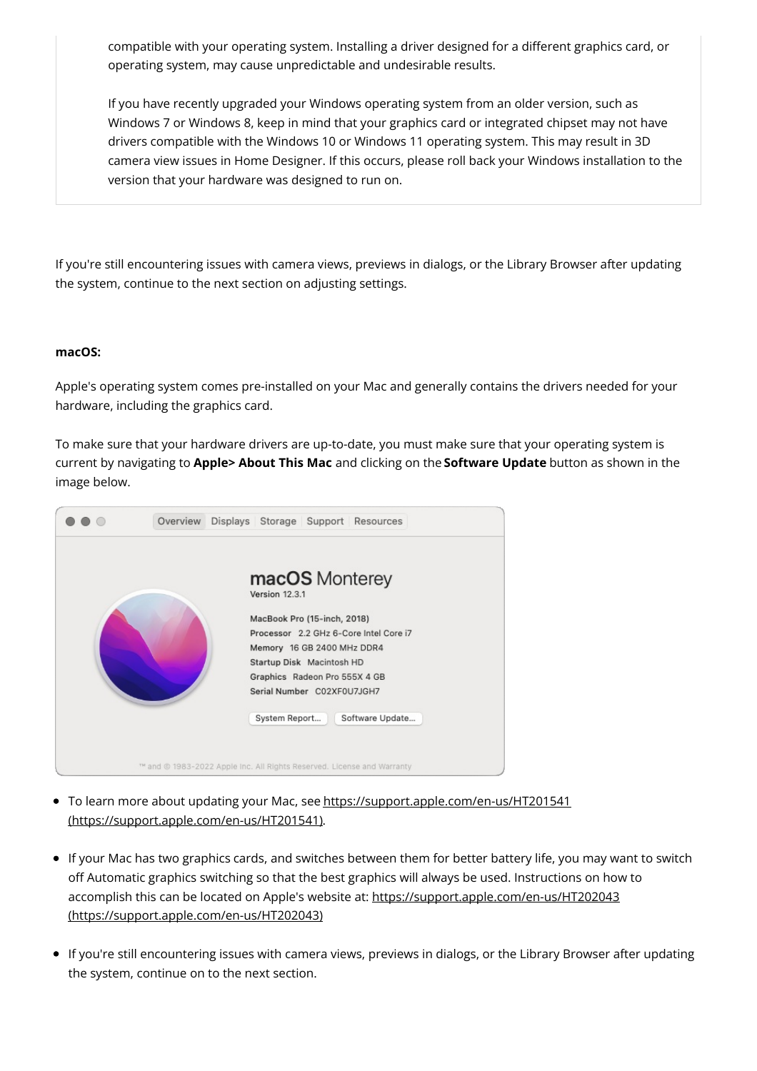compatible with your operating system. Installing a driver designed for a different graphics card, or operating system, may cause unpredictable and undesirable results.

If you have recently upgraded your Windows operating system from an older version, such as Windows 7 or Windows 8, keep in mind that your graphics card or integrated chipset may not have drivers compatible with the Windows 10 or Windows 11 operating system. This may result in 3D camera view issues in Home Designer. If this occurs, please roll back your Windows installation to the version that your hardware was designed to run on.

If you're still encountering issues with camera views, previews in dialogs, or the Library Browser after updating the system, continue to the next section on adjusting settings.

#### **macOS:**

Apple's operating system comes pre-installed on your Mac and generally contains the drivers needed for your hardware, including the graphics card.

To make sure that your hardware drivers are up-to-date, you must make sure that your operating system is current by navigating to **Apple> About This Mac** and clicking on the **Software Update** button as shown in the image below.



- To learn more about updating your Mac, see https://support.apple.com/en-us/HT201541 [\(https://support.apple.com/en-us/HT201541\).](https://support.apple.com/en-us/HT201541)
- If your Mac has two graphics cards, and switches between them for better battery life, you may want to switch off Automatic graphics switching so that the best graphics will always be used. Instructions on how to accomplish this can be located on Apple's website at: https://support.apple.com/en-us/HT202043 [\(https://support.apple.com/en-us/HT202043\)](https://support.apple.com/en-us/HT202043)
- If you're still encountering issues with camera views, previews in dialogs, or the Library Browser after updating the system, continue on to the next section.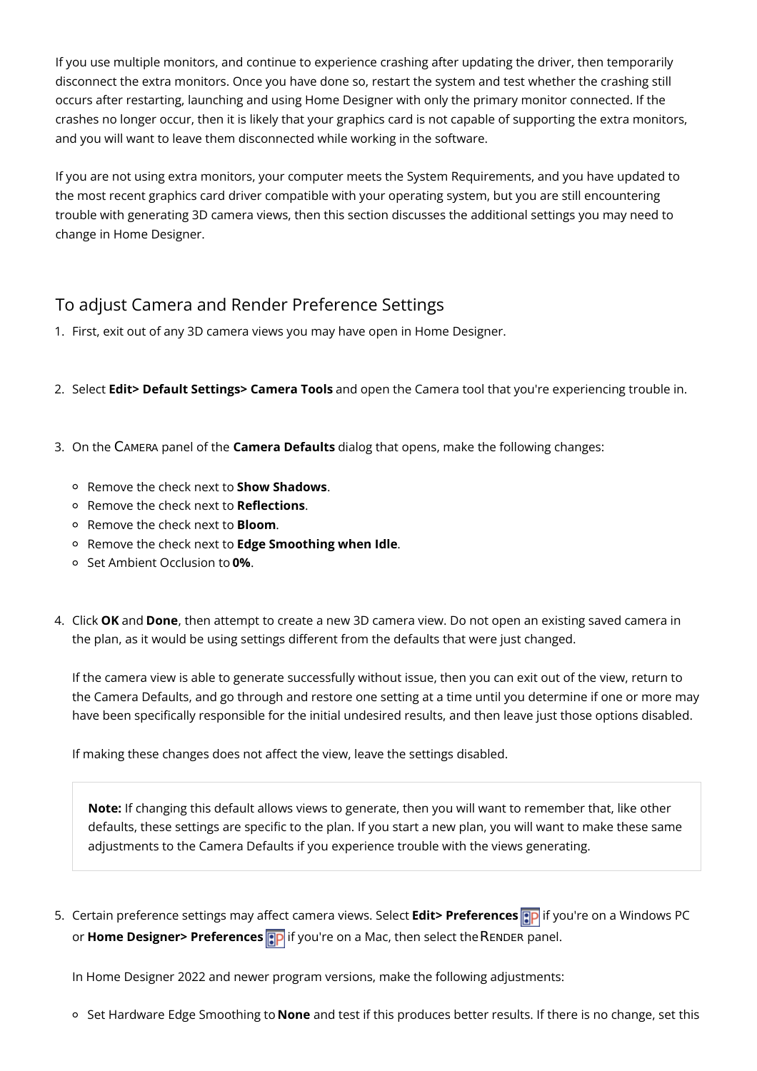If you use multiple monitors, and continue to experience crashing after updating the driver, then temporarily disconnect the extra monitors. Once you have done so, restart the system and test whether the crashing still occurs after restarting, launching and using Home Designer with only the primary monitor connected. If the crashes no longer occur, then it is likely that your graphics card is not capable of supporting the extra monitors, and you will want to leave them disconnected while working in the software.

If you are not using extra monitors, your computer meets the System Requirements, and you have updated to the most recent graphics card driver compatible with your operating system, but you are still encountering trouble with generating 3D camera views, then this section discusses the additional settings you may need to change in Home Designer.

### To adjust Camera and Render Preference Settings

- 1. First, exit out of any 3D camera views you may have open in Home Designer.
- 2. Select **Edit> Default Settings> Camera Tools** and open the Camera tool that you're experiencing trouble in.
- 3. On the CAMERA panel of the **Camera Defaults** dialog that opens, make the following changes:
	- Remove the check next to **Show Shadows**.
	- Remove the check next to **Reflections**.
	- Remove the check next to **Bloom**.
	- Remove the check next to **Edge Smoothing when Idle**.
	- Set Ambient Occlusion to **0%**.
- 4. Click **OK** and **Done**, then attempt to create a new 3D camera view. Do not open an existing saved camera in the plan, as it would be using settings different from the defaults that were just changed.

If the camera view is able to generate successfully without issue, then you can exit out of the view, return to the Camera Defaults, and go through and restore one setting at a time until you determine if one or more may have been specifically responsible for the initial undesired results, and then leave just those options disabled.

If making these changes does not affect the view, leave the settings disabled.

**Note:** If changing this default allows views to generate, then you will want to remember that, like other defaults, these settings are specific to the plan. If you start a new plan, you will want to make these same adjustments to the Camera Defaults if you experience trouble with the views generating.

5. Certain preference settings may affect camera views. Select **Edit> Preferences** if you're on a Windows PC or **Home Designer> Preferences p** if you're on a Mac, then select the RENDER panel.

In Home Designer 2022 and newer program versions, make the following adjustments:

Set Hardware Edge Smoothing to **None** and test if this produces better results. If there is no change, set this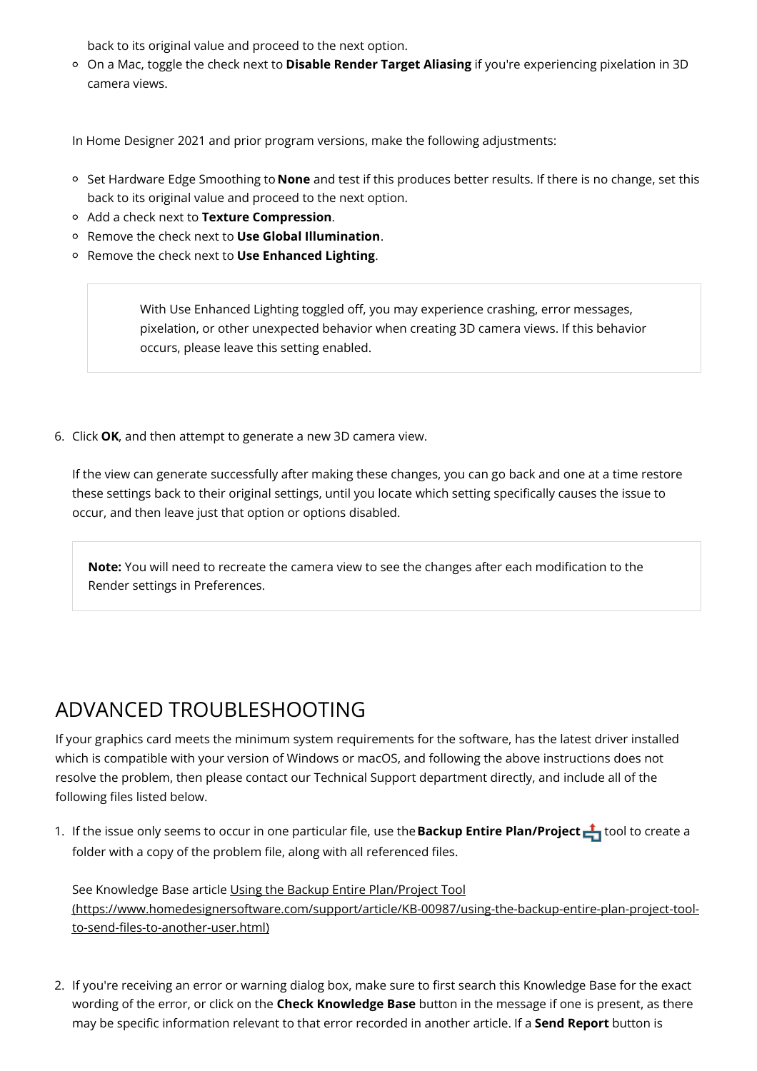back to its original value and proceed to the next option.

On a Mac, toggle the check next to **Disable Render Target Aliasing** if you're experiencing pixelation in 3D camera views.

In Home Designer 2021 and prior program versions, make the following adjustments:

- Set Hardware Edge Smoothing to **None** and test if this produces better results. If there is no change, set this back to its original value and proceed to the next option.
- Add a check next to **Texture Compression**.
- Remove the check next to **Use Global Illumination**.
- Remove the check next to **Use Enhanced Lighting**.

With Use Enhanced Lighting toggled off, you may experience crashing, error messages, pixelation, or other unexpected behavior when creating 3D camera views. If this behavior occurs, please leave this setting enabled.

6. Click **OK**, and then attempt to generate a new 3D camera view.

If the view can generate successfully after making these changes, you can go back and one at a time restore these settings back to their original settings, until you locate which setting specifically causes the issue to occur, and then leave just that option or options disabled.

**Note:** You will need to recreate the camera view to see the changes after each modification to the Render settings in Preferences.

## ADVANCED TROUBLESHOOTING

If your graphics card meets the minimum system requirements for the software, has the latest driver installed which is compatible with your version of Windows or macOS, and following the above instructions does not resolve the problem, then please contact our Technical Support department directly, and include all of the following files listed below.

1. If the issue only seems to occur in one particular file, use the **Backup Entire Plan/Project** in tool to create a folder with a copy of the problem file, along with all referenced files.

See Knowledge Base article Using the Backup Entire Plan/Project Tool [\(https://www.homedesignersoftware.com/support/article/KB-00987/using-the-backup-entire-plan-project-tool](https://www.homedesignersoftware.com/support/article/KB-00987/using-the-backup-entire-plan-project-tool-to-send-files-to-another-user.html)to-send-files-to-another-user.html)

2. If you're receiving an error or warning dialog box, make sure to first search this Knowledge Base for the exact wording of the error, or click on the **Check Knowledge Base** button in the message if one is present, as there may be specific information relevant to that error recorded in another article. If a **Send Report** button is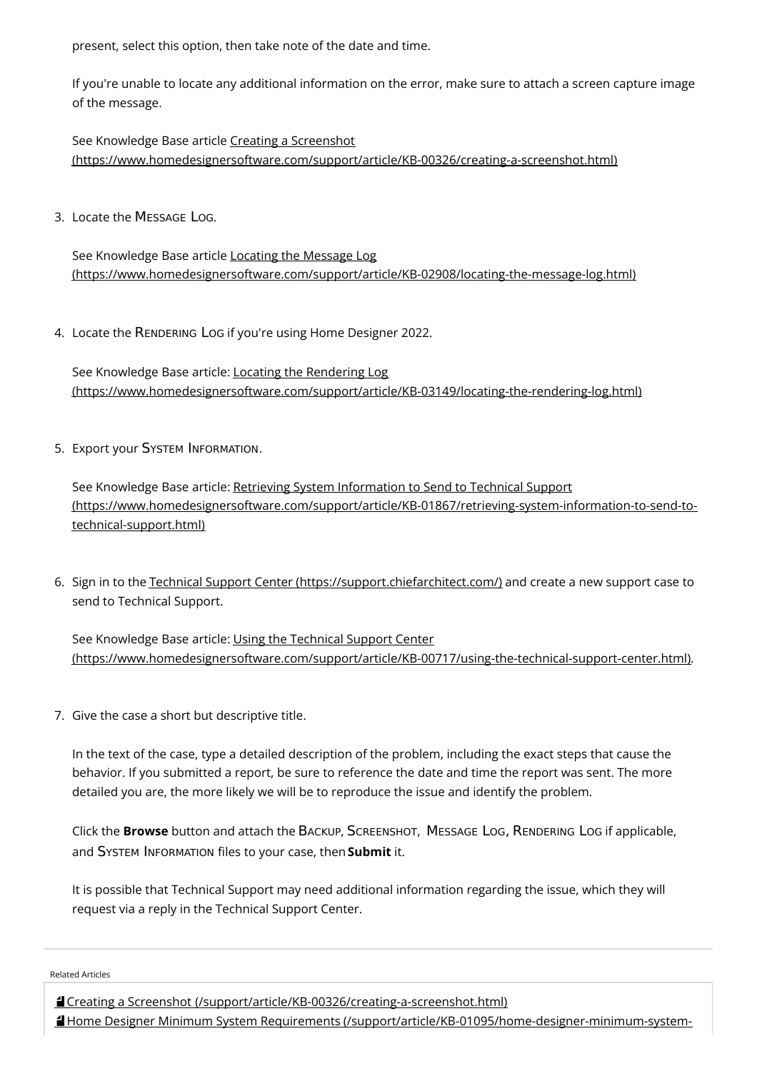present, select this option, then take note of the date and time.

If you're unable to locate any additional information on the error, make sure to attach a screen capture image of the message.

See Knowledge Base article Creating a Screenshot [\(https://www.homedesignersoftware.com/support/article/KB-00326/creating-a-screenshot.html\)](https://www.homedesignersoftware.com/support/article/KB-00326/creating-a-screenshot.html)

3. Locate the MESSAGE LOG.

See Knowledge Base article Locating the Message Log [\(https://www.homedesignersoftware.com/support/article/KB-02908/locating-the-message-log.html\)](https://www.homedesignersoftware.com/support/article/KB-02908/locating-the-message-log.html)

4. Locate the RENDERING LOG if you're using Home Designer 2022.

See Knowledge Base article: Locating the Rendering Log [\(https://www.homedesignersoftware.com/support/article/KB-03149/locating-the-rendering-log.html\)](https://www.homedesignersoftware.com/support/article/KB-03149/locating-the-rendering-log.html)

5. Export your SYSTEM INFORMATION.

See Knowledge Base article: Retrieving System Information to Send to Technical Support [\(https://www.homedesignersoftware.com/support/article/KB-01867/retrieving-system-information-to-send-to](https://www.homedesignersoftware.com/support/article/KB-01867/retrieving-system-information-to-send-to-technical-support.html)technical-support.html)

6. Sign in to the Technical Support Center [\(https://support.chiefarchitect.com/\)](https://support.chiefarchitect.com/) and create a new support case to send to Technical Support.

See Knowledge Base article: Using the Technical Support Center [\(https://www.homedesignersoftware.com/support/article/KB-00717/using-the-technical-support-center.html\)](https://www.homedesignersoftware.com/support/article/KB-00717/using-the-technical-support-center.html).

7. Give the case a short but descriptive title.

In the text of the case, type a detailed description of the problem, including the exact steps that cause the behavior. If you submitted a report, be sure to reference the date and time the report was sent. The more detailed you are, the more likely we will be to reproduce the issue and identify the problem.

Click the **Browse** button and attach the BACKUP, SCREENSHOT, MESSAGE LOG, RENDERING LOG if applicable, and SYSTEM INFORMATION files to your case, then **Submit** it.

It is possible that Technical Support may need additional information regarding the issue, which they will request via a reply in the Technical Support Center.

Related Articles

Creating a Screenshot [\(/support/article/KB-00326/creating-a-screenshot.html\)](file:///support/article/KB-00326/creating-a-screenshot.html) Home Designer Minimum System Requirements [\(/support/article/KB-01095/home-designer-minimum-system-](file:///support/article/KB-01095/home-designer-minimum-system-requirements.html)